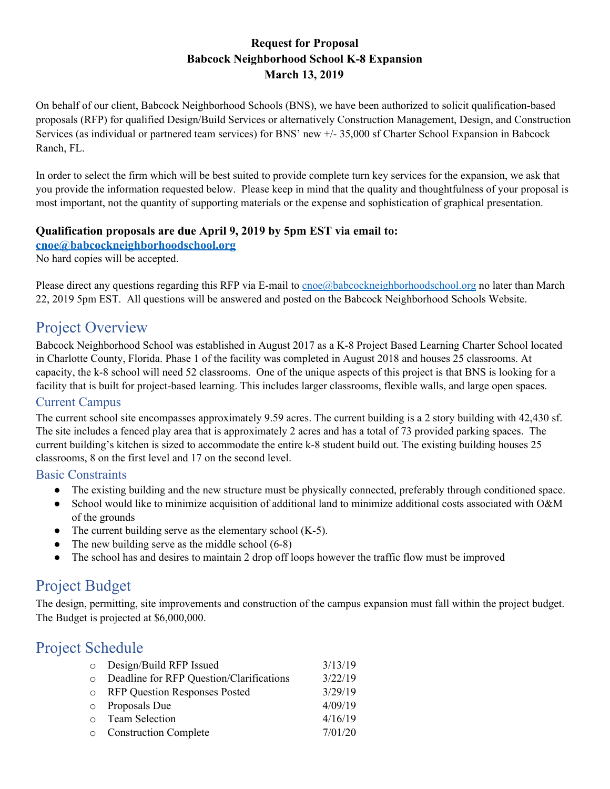## **Request for Proposal Babcock Neighborhood School K-8 Expansion March 13, 2019**

On behalf of our client, Babcock Neighborhood Schools (BNS), we have been authorized to solicit qualification-based proposals (RFP) for qualified Design/Build Services or alternatively Construction Management, Design, and Construction Services (as individual or partnered team services) for BNS' new +/- 35,000 sf Charter School Expansion in Babcock Ranch, FL.

In order to select the firm which will be best suited to provide complete turn key services for the expansion, we ask that you provide the information requested below. Please keep in mind that the quality and thoughtfulness of your proposal is most important, not the quantity of supporting materials or the expense and sophistication of graphical presentation.

#### **Qualification proposals are due April 9, 2019 by 5pm EST via email to:**

**[cnoe@babcockneighborhoodschool.org](mailto:cnoe@babcockneighborhoodschool.org)**

No hard copies will be accepted.

Please direct any questions regarding this RFP via E-mail to [cnoe@babcockneighborhoodschool.org](mailto:cnoe@babcockneighborhoodschool.org) no later than March 22, 2019 5pm EST. All questions will be answered and posted on the Babcock Neighborhood Schools Website.

## Project Overview

Babcock Neighborhood School was established in August 2017 as a K-8 Project Based Learning Charter School located in Charlotte County, Florida. Phase 1 of the facility was completed in August 2018 and houses 25 classrooms. At capacity, the k-8 school will need 52 classrooms. One of the unique aspects of this project is that BNS is looking for a facility that is built for project-based learning. This includes larger classrooms, flexible walls, and large open spaces.

## Current Campus

The current school site encompasses approximately 9.59 acres. The current building is a 2 story building with 42,430 sf. The site includes a fenced play area that is approximately 2 acres and has a total of 73 provided parking spaces. The current building's kitchen is sized to accommodate the entire k-8 student build out. The existing building houses 25 classrooms, 8 on the first level and 17 on the second level.

#### Basic Constraints

- The existing building and the new structure must be physically connected, preferably through conditioned space.
- School would like to minimize acquisition of additional land to minimize additional costs associated with O&M of the grounds
- The current building serve as the elementary school  $(K-5)$ .
- The new building serve as the middle school  $(6-8)$
- The school has and desires to maintain 2 drop off loops however the traffic flow must be improved

# Project Budget

The design, permitting, site improvements and construction of the campus expansion must fall within the project budget. The Budget is projected at \$6,000,000.

## Project Schedule

| O Design/Build RFP Issued                  | 3/13/19 |
|--------------------------------------------|---------|
|                                            |         |
| o Deadline for RFP Question/Clarifications | 3/22/19 |
| o RFP Question Responses Posted            | 3/29/19 |
| o Proposals Due                            | 4/09/19 |
| o Team Selection                           | 4/16/19 |
| o Construction Complete                    | 7/01/20 |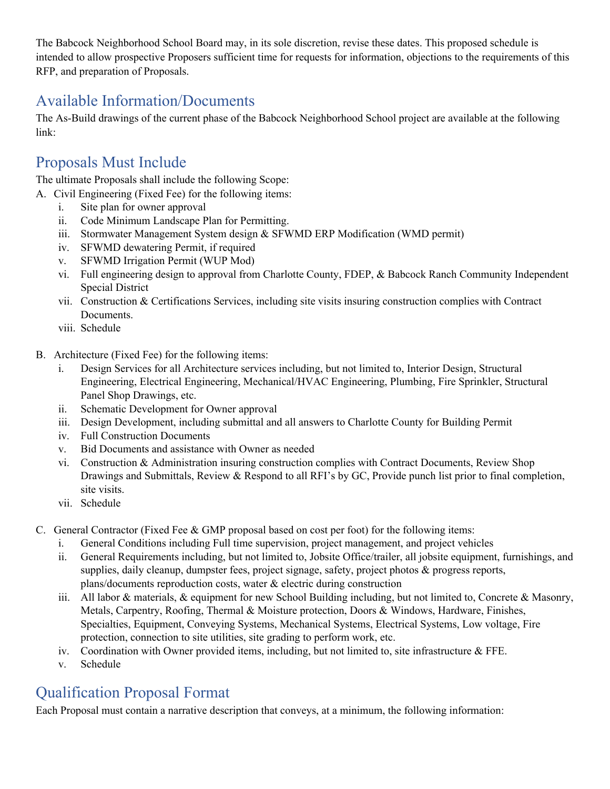The Babcock Neighborhood School Board may, in its sole discretion, revise these dates. This proposed schedule is intended to allow prospective Proposers sufficient time for requests for information, objections to the requirements of this RFP, and preparation of Proposals.

# Available Information/Documents

The As-Build drawings of the current phase of the Babcock Neighborhood School project are available at the following link:

# Proposals Must Include

The ultimate Proposals shall include the following Scope:

- A. Civil Engineering (Fixed Fee) for the following items:
	- i. Site plan for owner approval
	- ii. Code Minimum Landscape Plan for Permitting.
	- iii. Stormwater Management System design & SFWMD ERP Modification (WMD permit)
	- iv. SFWMD dewatering Permit, if required
	- v. SFWMD Irrigation Permit (WUP Mod)
	- vi. Full engineering design to approval from Charlotte County, FDEP, & Babcock Ranch Community Independent Special District
	- vii. Construction & Certifications Services, including site visits insuring construction complies with Contract Documents.
	- viii. Schedule
- B. Architecture (Fixed Fee) for the following items:
	- i. Design Services for all Architecture services including, but not limited to, Interior Design, Structural Engineering, Electrical Engineering, Mechanical/HVAC Engineering, Plumbing, Fire Sprinkler, Structural Panel Shop Drawings, etc.
	- ii. Schematic Development for Owner approval
	- iii. Design Development, including submittal and all answers to Charlotte County for Building Permit
	- iv. Full Construction Documents
	- v. Bid Documents and assistance with Owner as needed
	- vi. Construction & Administration insuring construction complies with Contract Documents, Review Shop Drawings and Submittals, Review & Respond to all RFI's by GC, Provide punch list prior to final completion, site visits.
	- vii. Schedule
- C. General Contractor (Fixed Fee & GMP proposal based on cost per foot) for the following items:
	- i. General Conditions including Full time supervision, project management, and project vehicles
	- ii. General Requirements including, but not limited to, Jobsite Office/trailer, all jobsite equipment, furnishings, and supplies, daily cleanup, dumpster fees, project signage, safety, project photos & progress reports, plans/documents reproduction costs, water & electric during construction
	- iii. All labor & materials,  $\&$  equipment for new School Building including, but not limited to, Concrete  $\&$  Masonry, Metals, Carpentry, Roofing, Thermal & Moisture protection, Doors & Windows, Hardware, Finishes, Specialties, Equipment, Conveying Systems, Mechanical Systems, Electrical Systems, Low voltage, Fire protection, connection to site utilities, site grading to perform work, etc.
	- iv. Coordination with Owner provided items, including, but not limited to, site infrastructure & FFE.
	- v. Schedule

# Qualification Proposal Format

Each Proposal must contain a narrative description that conveys, at a minimum, the following information: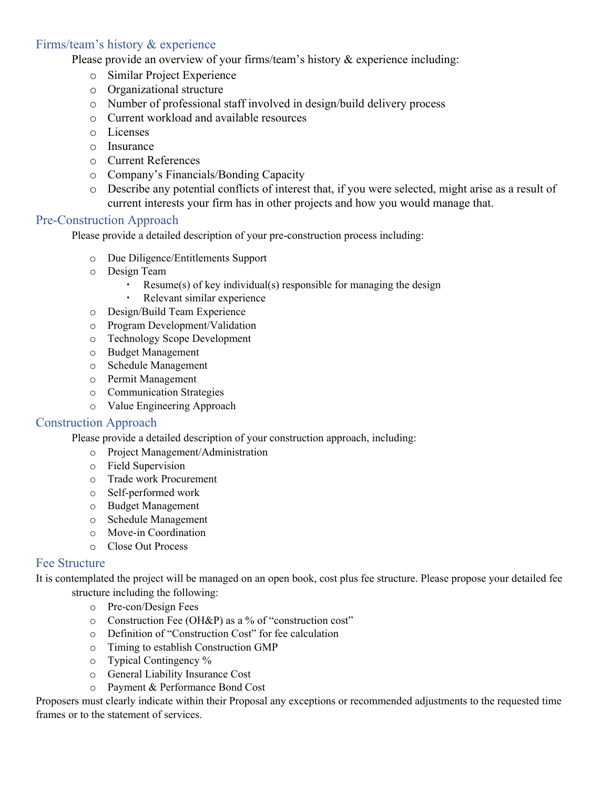## Firms/team's history & experience

Please provide an overview of your firms/team's history & experience including:

- o Similar Project Experience
- o Organizational structure
- o Number of professional staff involved in design/build delivery process
- o Current workload and available resources
- o Licenses
- o Insurance
- o Current References
- o Company's Financials/Bonding Capacity
- o Describe any potential conflicts of interest that, if you were selected, might arise as a result of current interests your firm has in other projects and how you would manage that.

#### Pre-Construction Approach

Please provide a detailed description of your pre-construction process including:

- o Due Diligence/Entitlements Support
- o Design Team
	- Resume(s) of key individual(s) responsible for managing the design
	- Relevant similar experience
- o Design/Build Team Experience
- o Program Development/Validation
- o Technology Scope Development
- o Budget Management
- o Schedule Management
- o Permit Management
- o Communication Strategies
- o Value Engineering Approach

#### Construction Approach

Please provide a detailed description of your construction approach, including:

- o Project Management/Administration
- o Field Supervision
- o Trade work Procurement
- o Self-performed work
- o Budget Management
- o Schedule Management
- o Move-in Coordination
- o Close Out Process

#### Fee Structure

It is contemplated the project will be managed on an open book, cost plus fee structure. Please propose your detailed fee structure including the following:

- o Pre-con/Design Fees
- o Construction Fee (OH&P) as a % of "construction cost"
- o Definition of "Construction Cost" for fee calculation
- o Timing to establish Construction GMP
- o Typical Contingency %
- o General Liability Insurance Cost
- o Payment & Performance Bond Cost

Proposers must clearly indicate within their Proposal any exceptions or recommended adjustments to the requested time frames or to the statement of services.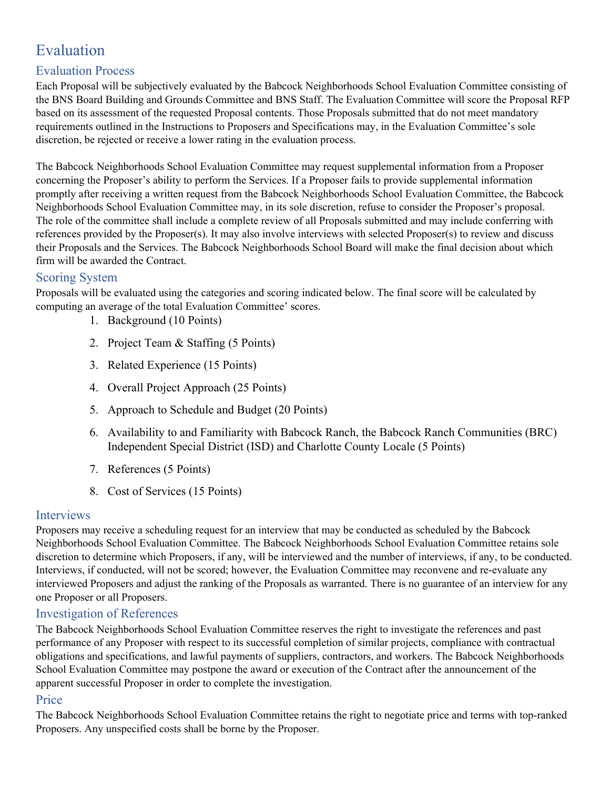# Evaluation

## Evaluation Process

Each Proposal will be subjectively evaluated by the Babcock Neighborhoods School Evaluation Committee consisting of the BNS Board Building and Grounds Committee and BNS Staff. The Evaluation Committee will score the Proposal RFP based on its assessment of the requested Proposal contents. Those Proposals submitted that do not meet mandatory requirements outlined in the Instructions to Proposers and Specifications may, in the Evaluation Committee's sole discretion, be rejected or receive a lower rating in the evaluation process.

The Babcock Neighborhoods School Evaluation Committee may request supplemental information from a Proposer concerning the Proposer's ability to perform the Services. If a Proposer fails to provide supplemental information promptly after receiving a written request from the Babcock Neighborhoods School Evaluation Committee, the Babcock Neighborhoods School Evaluation Committee may, in its sole discretion, refuse to consider the Proposer's proposal. The role of the committee shall include a complete review of all Proposals submitted and may include conferring with references provided by the Proposer(s). It may also involve interviews with selected Proposer(s) to review and discuss their Proposals and the Services. The Babcock Neighborhoods School Board will make the final decision about which firm will be awarded the Contract.

## Scoring System

Proposals will be evaluated using the categories and scoring indicated below. The final score will be calculated by computing an average of the total Evaluation Committee' scores.

- 1. Background (10 Points)
- 2. Project Team & Staffing (5 Points)
- 3. Related Experience (15 Points)
- 4. Overall Project Approach (25 Points)
- 5. Approach to Schedule and Budget (20 Points)
- 6. Availability to and Familiarity with Babcock Ranch, the Babcock Ranch Communities (BRC) Independent Special District (ISD) and Charlotte County Locale (5 Points)
- 7. References (5 Points)
- 8. Cost of Services (15 Points)

#### Interviews

Proposers may receive a scheduling request for an interview that may be conducted as scheduled by the Babcock Neighborhoods School Evaluation Committee. The Babcock Neighborhoods School Evaluation Committee retains sole discretion to determine which Proposers, if any, will be interviewed and the number of interviews, if any, to be conducted. Interviews, if conducted, will not be scored; however, the Evaluation Committee may reconvene and re-evaluate any interviewed Proposers and adjust the ranking of the Proposals as warranted. There is no guarantee of an interview for any one Proposer or all Proposers.

## Investigation of References

The Babcock Neighborhoods School Evaluation Committee reserves the right to investigate the references and past performance of any Proposer with respect to its successful completion of similar projects, compliance with contractual obligations and specifications, and lawful payments of suppliers, contractors, and workers. The Babcock Neighborhoods School Evaluation Committee may postpone the award or execution of the Contract after the announcement of the apparent successful Proposer in order to complete the investigation.

## Price

The Babcock Neighborhoods School Evaluation Committee retains the right to negotiate price and terms with top-ranked Proposers. Any unspecified costs shall be borne by the Proposer.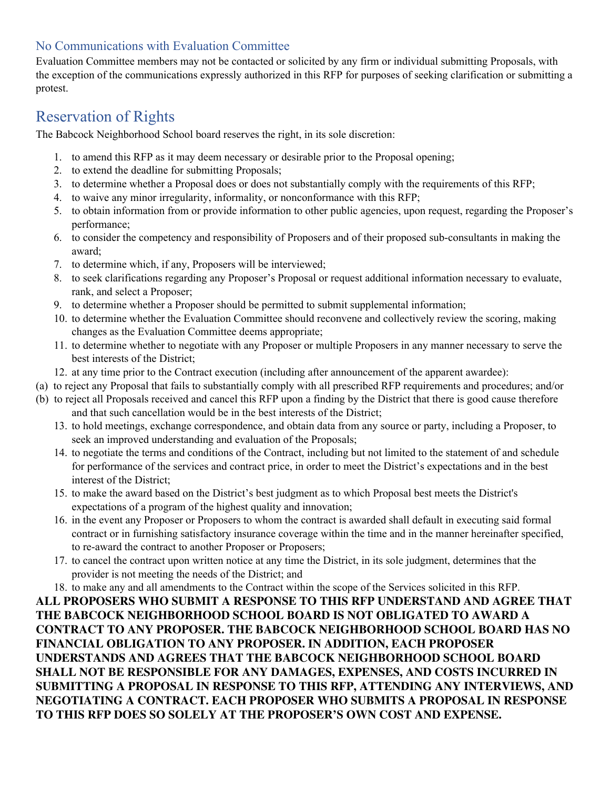## No Communications with Evaluation Committee

Evaluation Committee members may not be contacted or solicited by any firm or individual submitting Proposals, with the exception of the communications expressly authorized in this RFP for purposes of seeking clarification or submitting a protest.

# Reservation of Rights

The Babcock Neighborhood School board reserves the right, in its sole discretion:

- 1. to amend this RFP as it may deem necessary or desirable prior to the Proposal opening;
- 2. to extend the deadline for submitting Proposals;
- 3. to determine whether a Proposal does or does not substantially comply with the requirements of this RFP;
- 4. to waive any minor irregularity, informality, or nonconformance with this RFP;
- 5. to obtain information from or provide information to other public agencies, upon request, regarding the Proposer's performance;
- 6. to consider the competency and responsibility of Proposers and of their proposed sub-consultants in making the award;
- 7. to determine which, if any, Proposers will be interviewed;
- 8. to seek clarifications regarding any Proposer's Proposal or request additional information necessary to evaluate, rank, and select a Proposer;
- 9. to determine whether a Proposer should be permitted to submit supplemental information;
- 10. to determine whether the Evaluation Committee should reconvene and collectively review the scoring, making changes as the Evaluation Committee deems appropriate;
- 11. to determine whether to negotiate with any Proposer or multiple Proposers in any manner necessary to serve the best interests of the District;
- 12. at any time prior to the Contract execution (including after announcement of the apparent awardee):
- (a) to reject any Proposal that fails to substantially comply with all prescribed RFP requirements and procedures; and/or
- (b) to reject all Proposals received and cancel this RFP upon a finding by the District that there is good cause therefore and that such cancellation would be in the best interests of the District;
	- 13. to hold meetings, exchange correspondence, and obtain data from any source or party, including a Proposer, to seek an improved understanding and evaluation of the Proposals;
	- 14. to negotiate the terms and conditions of the Contract, including but not limited to the statement of and schedule for performance of the services and contract price, in order to meet the District's expectations and in the best interest of the District;
	- 15. to make the award based on the District's best judgment as to which Proposal best meets the District's expectations of a program of the highest quality and innovation;
	- 16. in the event any Proposer or Proposers to whom the contract is awarded shall default in executing said formal contract or in furnishing satisfactory insurance coverage within the time and in the manner hereinafter specified, to re-award the contract to another Proposer or Proposers;
	- 17. to cancel the contract upon written notice at any time the District, in its sole judgment, determines that the provider is not meeting the needs of the District; and
	- 18. to make any and all amendments to the Contract within the scope of the Services solicited in this RFP.

**ALL PROPOSERS WHO SUBMIT A RESPONSE TO THIS RFP UNDERSTAND AND AGREE THAT THE BABCOCK NEIGHBORHOOD SCHOOL BOARD IS NOT OBLIGATED TO AWARD A CONTRACT TO ANY PROPOSER. THE BABCOCK NEIGHBORHOOD SCHOOL BOARD HAS NO FINANCIAL OBLIGATION TO ANY PROPOSER. IN ADDITION, EACH PROPOSER UNDERSTANDS AND AGREES THAT THE BABCOCK NEIGHBORHOOD SCHOOL BOARD SHALL NOT BE RESPONSIBLE FOR ANY DAMAGES, EXPENSES, AND COSTS INCURRED IN SUBMITTING A PROPOSAL IN RESPONSE TO THIS RFP, ATTENDING ANY INTERVIEWS, AND NEGOTIATING A CONTRACT. EACH PROPOSER WHO SUBMITS A PROPOSAL IN RESPONSE TO THIS RFP DOES SO SOLELY AT THE PROPOSER'S OWN COST AND EXPENSE.**